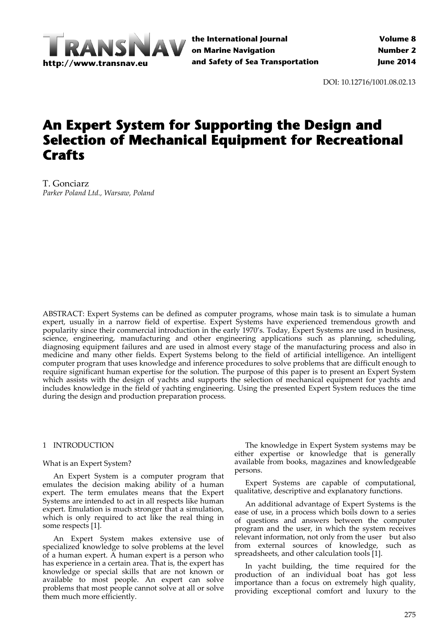

**the International Journal on Marine Navigation and Safety of Sea Transportation**

DOI: 10.12716/1001.08.02.13

# **An Expert System for Supporting the Design and Selection of Mechanical Equipment for Recreational Crafts**

T. Gonciarz *Parker Poland Ltd., Warsaw, Poland*

ABSTRACT: Expert Systems can be defined as computer programs, whose main task is to simulate a human expert, usually in a narrow field of expertise. Expert Systems have experienced tremendous growth and popularity since their commercial introduction in the early 1970's. Today, Expert Systems are used in business, science, engineering, manufacturing and other engineering applications such as planning, scheduling, diagnosing equipment failures and are used in almost every stage of the manufacturing process and also in medicine and many other fields. Expert Systems belong to the field of artificial intelligence. An intelligent computer program that uses knowledge and inference procedures to solve problems that are difficult enough to require significant human expertise for the solution. The purpose of this paper is to present an Expert System which assists with the design of yachts and supports the selection of mechanical equipment for yachts and includes knowledge in the field of yachting engineering. Using the presented Expert System reduces the time during the design and production preparation process.

#### 1 INTRODUCTION

#### What is an Expert System?

An Expert System is a computer program that emulates the decision making ability of a human expert. The term emulates means that the Expert Systems are intended to act in all respects like human expert. Emulation is much stronger that a simulation, which is only required to act like the real thing in some respects [1].

An Expert System makes extensive use of specialized knowledge to solve problems at the level of a human expert. A human expert is a person who has experience in a certain area. That is, the expert has knowledge or special skills that are not known or available to most people. An expert can solve problems that most people cannot solve at all or solve them much more efficiently.

The knowledge in Expert System systems may be either expertise or knowledge that is generally available from books, magazines and knowledgeable persons.

Expert Systems are capable of computational, qualitative, descriptive and explanatory functions.

An additional advantage of Expert Systems is the ease of use, in a process which boils down to a series of questions and answers between the computer program and the user, in which the system receives relevant information, not only from the user but also from external sources of knowledge, such as spreadsheets, and other calculation tools [1].

In yacht building, the time required for the production of an individual boat has got less importance than a focus on extremely high quality, providing exceptional comfort and luxury to the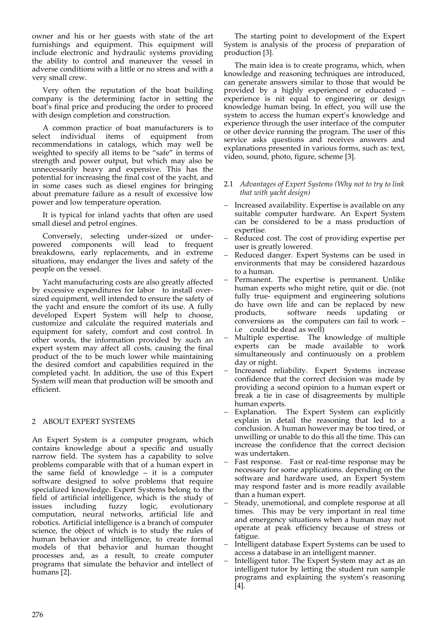owner and his or her guests with state of the art furnishings and equipment. This equipment will include electronic and hydraulic systems providing the ability to control and maneuver the vessel in adverse conditions with a little or no stress and with a very small crew.

Very often the reputation of the boat building company is the determining factor in setting the boat's final price and producing the order to proceed with design completion and construction.

A common practice of boat manufacturers is to select individual items of equipment from recommendations in catalogs, which may well be weighted to specify all items to be "safe" in terms of strength and power output, but which may also be unnecessarily heavy and expensive. This has the potential for increasing the final cost of the yacht, and in some cases such as diesel engines for bringing about premature failure as a result of excessive low power and low temperature operation.

It is typical for inland yachts that often are used small diesel and petrol engines.

Conversely, selecting under‐sized or under‐ powered components will lead to frequent breakdowns, early replacements, and in extreme situations, may endanger the lives and safety of the people on the vessel.

Yacht manufacturing costs are also greatly affected by excessive expenditures for labor to install oversized equipment, well intended to ensure the safety of the yacht and ensure the comfort of its use. A fully developed Expert System will help to choose, customize and calculate the required materials and equipment for safety, comfort and cost control. In other words, the information provided by such an expert system may affect all costs, causing the final product of the to be much lower while maintaining the desired comfort and capabilities required in the completed yacht. In addition, the use of this Expert System will mean that production will be smooth and efficient.

# 2 ABOUT EXPERT SYSTEMS

An Expert System is a computer program, which contains knowledge about a specific and usually narrow field. The system has a capability to solve problems comparable with that of a human expert in the same field of knowledge – it is a computer software designed to solve problems that require specialized knowledge. Expert Systems belong to the field of artificial intelligence, which is the study of issues including fuzzy logic, evolutionary computation, neural networks, artificial life and robotics. Artificial intelligence is a branch of computer science, the object of which is to study the rules of human behavior and intelligence, to create formal models of that behavior and human thought processes and, as a result, to create computer programs that simulate the behavior and intellect of humans [2].

The starting point to development of the Expert System is analysis of the process of preparation of production [3].

The main idea is to create programs, which, when knowledge and reasoning techniques are introduced, can generate answers similar to those that would be provided by a highly experienced or educated – experience is nit equal to engineering or design knowledge human being. In effect, you will use the system to access the human expert's knowledge and experience through the user interface of the computer or other device running the program. The user of this service asks questions and receives answers and explanations presented in various forms, such as: text, video, sound, photo, figure, scheme [3].

## 2.1 *Advantages of Expert Systems (Why not to try to link that with yacht design)*

- Increased availability. Expertise is available on any suitable computer hardware. An Expert System can be considered to be a mass production of expertise.
- Reduced cost. The cost of providing expertise per user is greatly lowered.
- Reduced danger. Expert Systems can be used in environments that may be considered hazardous to a human.
- Permanent. The expertise is permanent. Unlike human experts who might retire, quit or die. (not fully true- equipment and engineering solutions do have own life and can be replaced by new products, software needs updating or conversions as the computers can fail to work  $$ i.e could be dead as well)
- Multiple expertise. The knowledge of multiple experts can be made available to work simultaneously and continuously on a problem day or night.
- Increased reliability. Expert Systems increase confidence that the correct decision was made by providing a second opinion to a human expert or break a tie in case of disagreements by multiple
- human experts.<br>Explanation. The Expert System can explicitly explain in detail the reasoning that led to a conclusion. A human however may be too tired, or unwilling or unable to do this all the time. This can increase the confidence that the correct decision was undertaken.
- Fast response. Fast or real-time response may be necessary for some applications. depending on the software and hardware used, an Expert System may respond faster and is more readily available than a human expert.
- Steady, unemotional, and complete response at all times. This may be very important in real time and emergency situations when a human may not operate at peak efficiency because of stress or fatigue.
- Intelligent database Expert Systems can be used to access a database in an intelligent manner.
- Intelligent tutor. The Expert System may act as an intelligent tutor by letting the student run sample programs and explaining the system's reasoning [4].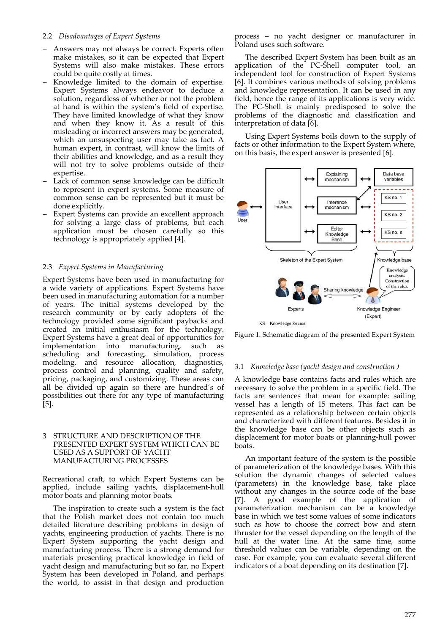## 2.2 *Disadvantages of Expert Systems*

- Answers may not always be correct. Experts often make mistakes, so it can be expected that Expert Systems will also make mistakes. These errors could be quite costly at times.
- Knowledge limited to the domain of expertise. Expert Systems always endeavor to deduce a solution, regardless of whether or not the problem at hand is within the system's field of expertise. They have limited knowledge of what they know and when they know it. As a result of this misleading or incorrect answers may be generated, which an unsuspecting user may take as fact. A human expert, in contrast, will know the limits of their abilities and knowledge, and as a result they will not try to solve problems outside of their expertise.
- Lack of common sense knowledge can be difficult to represent in expert systems. Some measure of common sense can be represented but it must be done explicitly.
- Expert Systems can provide an excellent approach for solving a large class of problems, but each application must be chosen carefully so this technology is appropriately applied [4].

# 2.3 *Expert Systems in Manufacturing*

Expert Systems have been used in manufacturing for a wide variety of applications. Expert Systems have been used in manufacturing automation for a number of years. The initial systems developed by the research community or by early adopters of the technology provided some significant paybacks and created an initial enthusiasm for the technology. Expert Systems have a great deal of opportunities for implementation into manufacturing, such as scheduling and forecasting, simulation, process modeling, and resource allocation, diagnostics, process control and planning, quality and safety, pricing, packaging, and customizing. These areas can all be divided up again so there are hundred's of possibilities out there for any type of manufacturing [5].

#### 3 STRUCTURE AND DESCRIPTION OF THE PRESENTED EXPERT SYSTEM WHICH CAN BE USED AS A SUPPORT OF YACHT MANUFACTURING PROCESSES

Recreational craft, to which Expert Systems can be applied, include sailing yachts, displacement‐hull motor boats and planning motor boats.

The inspiration to create such a system is the fact that the Polish market does not contain too much detailed literature describing problems in design of yachts, engineering production of yachts. There is no Expert System supporting the yacht design and manufacturing process. There is a strong demand for materials presenting practical knowledge in field of yacht design and manufacturing but so far, no Expert System has been developed in Poland, and perhaps the world, to assist in that design and production

process – no yacht designer or manufacturer in Poland uses such software.

The described Expert System has been built as an application of the PC-Shell computer tool, an independent tool for construction of Expert Systems [6]. It combines various methods of solving problems and knowledge representation. It can be used in any field, hence the range of its applications is very wide. The PC‐Shell is mainly predisposed to solve the problems of the diagnostic and classification and interpretation of data [6].

Using Expert Systems boils down to the supply of facts or other information to the Expert System where, on this basis, the expert answer is presented [6].



Figure 1. Schematic diagram of the presented Expert System

#### 3.1 *Knowledge base (yacht design and construction )*

A knowledge base contains facts and rules which are necessary to solve the problem in a specific field. The facts are sentences that mean for example: sailing vessel has a length of 15 meters. This fact can be represented as a relationship between certain objects and characterized with different features. Besides it in the knowledge base can be other objects such as displacement for motor boats or planning‐hull power boats.

An important feature of the system is the possible of parameterization of the knowledge bases. With this solution the dynamic changes of selected values (parameters) in the knowledge base, take place without any changes in the source code of the base [7]. A good example of the application of parameterization mechanism can be a knowledge base in which we test some values of some indicators such as how to choose the correct bow and stern thruster for the vessel depending on the length of the hull at the water line. At the same time, some threshold values can be variable, depending on the case. For example, you can evaluate several different indicators of a boat depending on its destination [7].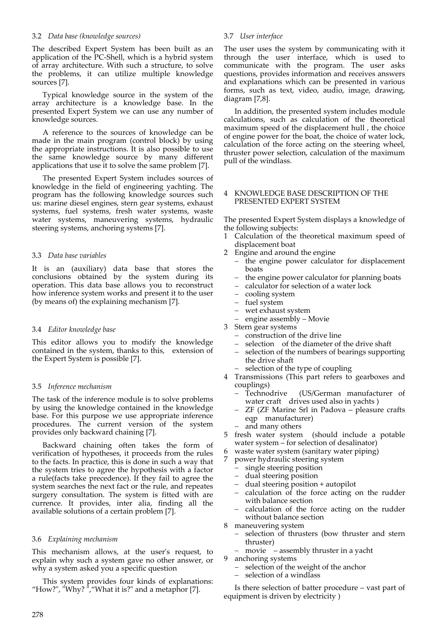## 3.2 *Data base (knowledge sources)*

The described Expert System has been built as an application of the PC‐Shell, which is a hybrid system of array architecture. With such a structure, to solve the problems, it can utilize multiple knowledge sources [7].

Typical knowledge source in the system of the array architecture is a knowledge base. In the presented Expert System we can use any number of knowledge sources.

A reference to the sources of knowledge can be made in the main program (control block) by using the appropriate instructions. It is also possible to use the same knowledge source by many different applications that use it to solve the same problem [7].

The presented Expert System includes sources of knowledge in the field of engineering yachting. The program has the following knowledge sources such us: marine diesel engines, stern gear systems, exhaust systems, fuel systems, fresh water systems, waste water systems, maneuvering systems, hydraulic steering systems, anchoring systems [7].

# 3.3 *Data base variables*

It is an (auxiliary) data base that stores the conclusions obtained by the system during its operation. This data base allows you to reconstruct how inference system works and present it to the user (by means of) the explaining mechanism [7].

#### 3.4 *Editor knowledge base*

This editor allows you to modify the knowledge contained in the system, thanks to this, extension of the Expert System is possible [7].

#### 3.5 *Inference mechanism*

The task of the inference module is to solve problems by using the knowledge contained in the knowledge base. For this purpose we use appropriate inference procedures. The current version of the system provides only backward chaining [7].

Backward chaining often takes the form of verification of hypotheses, it proceeds from the rules to the facts. In practice, this is done in such a way that the system tries to agree the hypothesis with a factor a rule(facts take precedence). If they fail to agree the system searches the next fact or the rule, and repeates surgery consultation. The system is fitted with are currence. It provides, inter alia, finding all the available solutions of a certain problem [7].

# 3.6 *Explaining mechanism*

This mechanism allows, at the user's request, to explain why such a system gave no other answer, or why a system asked you a specific question

This system provides four kinds of explanations: "How?", "Why?  $\cdot$ ", "What it is?" and a metaphor [7].

#### 3.7 *User interface*

The user uses the system by communicating with it through the user interface, which is used to communicate with the program. The user asks questions, provides information and receives answers and explanations which can be presented in various forms, such as text, video, audio, image, drawing, diagram [7,8].

In addition, the presented system includes module calculations, such as calculation of the theoretical maximum speed of the displacement hull , the choice of engine power for the boat, the choice of water lock, calculation of the force acting on the steering wheel, thruster power selection, calculation of the maximum pull of the windlass.

## 4 KNOWLEDGE BASE DESCRIPTION OF THE PRESENTED EXPERT SYSTEM

The presented Expert System displays a knowledge of the following subjects:

- Calculation of the theoretical maximum speed of displacement boat
- 2 Engine and around the engine
	- the engine power calculator for displacement boats
	- the engine power calculator for planning boats
	- calculator for selection of a water lock
	- cooling system
	- fuel system
	- wet exhaust system
	- engine assembly Movie
- 3 Stern gear systems
	- construction of the drive line
	- selection of the diameter of the drive shaft
	- selection of the numbers of bearings supporting the drive shaft
	- selection of the type of coupling
- 4 Transmissions (This part refers to gearboxes and couplings)<br>- Technodrive
	- (US/German manufacturer of water craft drives used also in yachts)
	- ZF (ZF Marine Srl in Padova pleasure crafts eqp manufacturer)
	- and many others
- 5 fresh water system (should include a potable water system – for selection of desalinator)
- waste water system (sanitary water piping)
- 7 power hydraulic steering system
	- single steering position
	- dual steering position
	- dual steering position + autopilot
	- calculation of the force acting on the rudder with balance section
	- calculation of the force acting on the rudder without balance section
- 8 maneuvering system
	- selection of thrusters (bow thruster and stern thruster)
	- movie assembly thruster in a yacht
- 9 anchoring systems
	- selection of the weight of the anchor
	- selection of a windlass

Is there selection of batter procedure – vast part of equipment is driven by electricity )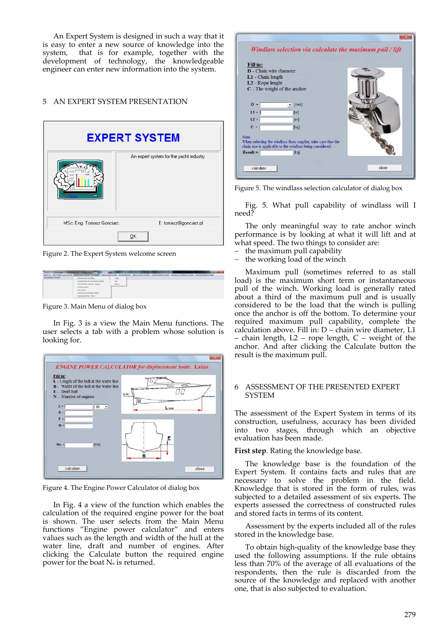An Expert System is designed in such a way that it is easy to enter a new source of knowledge into the system, that is for example, together with the development of technology, the knowledgeable engineer can enter new information into the system.

# 5 AN EXPERT SYSTEM PRESENTATION

|                            | An expert system for the yacht industry |
|----------------------------|-----------------------------------------|
| MSc. Eng. Tomasz Gonciarz, | E: tomasz@gonciarz.pl                   |

Figure 2. The Expert System welcome screen

| T. CAPCRT SYSTEM for aggressing the decing and production of packet? |                                                                                                                                               |            |                          |
|----------------------------------------------------------------------|-----------------------------------------------------------------------------------------------------------------------------------------------|------------|--------------------------|
|                                                                      | ABOUT M. BOAT SPEED CALCULATOR (INGRA AND ARTIAG THE ENGINE) STERN GEAR SYSTEMS. TRANSABSICHES, FRESH WATER DISTANCE INVESTIGATION CONTINUES. |            | <b>AANGAMING SYSTEMS</b> |
| <b>MOTOR DISTURB</b>                                                 | Engine power taltidates                                                                                                                       |            |                          |
|                                                                      | interest bunded free & for mail surfamil-                                                                                                     | <b>See</b> |                          |
|                                                                      | afterward allow to provide a high-                                                                                                            | Roard      |                          |
|                                                                      | <b>Cooking tuidem</b>                                                                                                                         | - 20       |                          |
|                                                                      | Fuel critical                                                                                                                                 |            |                          |
|                                                                      | change of the school system                                                                                                                   |            |                          |
|                                                                      | Engine posensity - Moule                                                                                                                      |            |                          |

Figure 3. Main Menu of dialog box

In Fig. 3 is a view the Main Menu functions. The user selects a tab with a problem whose solution is looking for.



Figure 4. The Engine Power Calculator of dialog box

In Fig. 4 a view of the function which enables the calculation of the required engine power for the boat is shown. The user selects from the Main Menu functions "Engine power calculator" and enters values such as the length and width of the hull at the water line, draft and number of engines. After clicking the Calculate button the required engine power for the boat Ne is returned.

| Windlass selection via calculate the maximum pull / lift                                                                    |
|-----------------------------------------------------------------------------------------------------------------------------|
| Fill in:                                                                                                                    |
| <b>D</b> - Chain wire diameter                                                                                              |
| L1 - Chain length                                                                                                           |
| L2 - Rope lenght                                                                                                            |
| C - The weight of the anchor                                                                                                |
| $D =$<br>[mm]<br>$\mathbf{v}$                                                                                               |
| $L1 =$<br>[ <sub>m</sub> ]                                                                                                  |
| $L2 =$<br>[ <sub>m</sub> ]                                                                                                  |
| $C =$<br>[kq]                                                                                                               |
| Note:                                                                                                                       |
| When selecting the windlass from supplier, take care that the<br>chain size is applicable to the windlass being considered. |
| $Result =$<br>[kq]                                                                                                          |
|                                                                                                                             |
| close<br>calculate                                                                                                          |

Figure 5. The windlass selection calculator of dialog box

Fig. 5. What pull capability of windlass will I need?

The only meaningful way to rate anchor winch performance is by looking at what it will lift and at what speed. The two things to consider are:

- the maximum pull capability
- the working load of the winch

Maximum pull (sometimes referred to as stall load) is the maximum short term or instantaneous pull of the winch. Working load is generally rated about a third of the maximum pull and is usually considered to be the load that the winch is pulling once the anchor is off the bottom. To determine your required maximum pull capability, complete the calculation above. Fill in: D – chain wire diameter, L1 – chain length, L2 – rope length, C – weight of the anchor. And after clicking the Calculate button the result is the maximum pull.

#### 6 ASSESSMENT OF THE PRESENTED EXPERT SYSTEM

The assessment of the Expert System in terms of its construction, usefulness, accuracy has been divided into two stages, through which an objective evaluation has been made.

# **First step**. Rating the knowledge base.

The knowledge base is the foundation of the Expert System. It contains facts and rules that are necessary to solve the problem in the field. Knowledge that is stored in the form of rules, was subjected to a detailed assessment of six experts. The experts assessed the correctness of constructed rules and stored facts in terms of its content.

Assessment by the experts included all of the rules stored in the knowledge base.

To obtain high‐quality of the knowledge base they used the following assumptions. If the rule obtains less than 70% of the average of all evaluations of the respondents, then the rule is discarded from the source of the knowledge and replaced with another one, that is also subjected to evaluation.